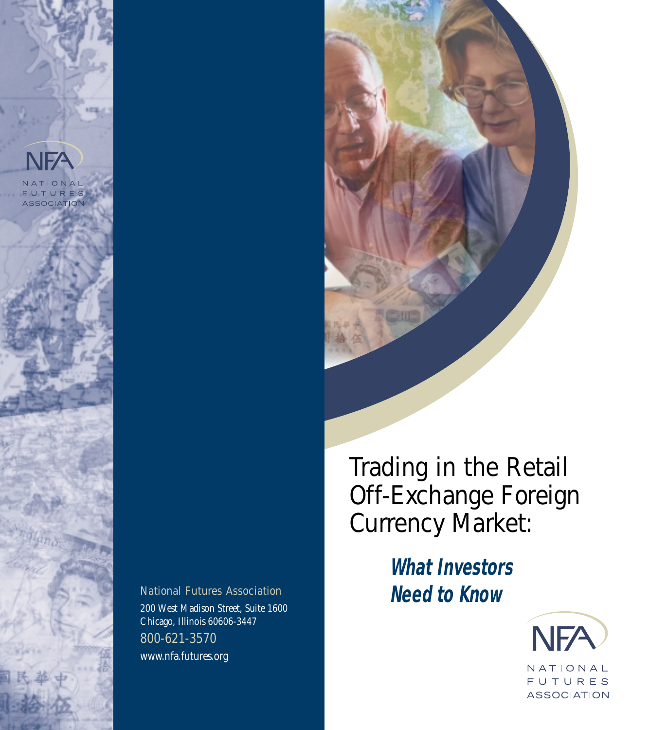



Trading in the Retail Off-Exchange Foreign Currency Market:

*What Investors* National Futures Association **Need to Know** 



200 West Madison Street, Suite 1600 Chicago, Illinois 60606-3447 800-621-3570 www.nfa.futures.org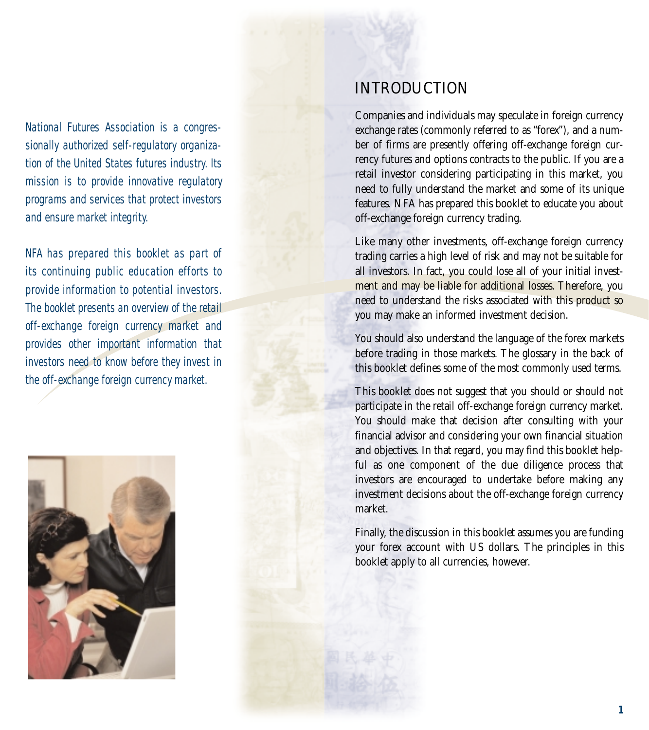National Futures Association is a congressionally authorized self-regulatory organization of the United States futures industry. Its mission is to provide innovative regulatory programs and services that protect investors and ensure market integrity.

NFA has prepared this booklet as part of its continuing public education efforts to provide information to potential investors. The booklet presents an overview of the retail off-exchange foreign currency market and provides other important information that investors need to know before they invest in the off-exchange foreign currency market.



# INTRODUCTION

Companies and individuals may speculate in foreign currency exchange rates (commonly referred to as "forex"), and a number of firms are presently offering off-exchange foreign currency futures and options contracts to the public. If you are a retail investor considering participating in this market, you need to fully understand the market and some of its unique features. NFA has prepared this booklet to educate you about off-exchange foreign currency trading.

Like many other investments, off-exchange foreign currency trading carries a high level of risk and may not be suitable for all investors. In fact, you could lose all of your initial investment and may be liable for additional losses. Therefore, you need to understand the risks associated with this product so you may make an informed investment decision.

You should also understand the language of the forex markets before trading in those markets. The glossary in the back of this booklet defines some of the most commonly used terms.

This booklet does not suggest that you should or should not participate in the retail off-exchange foreign currency market. You should make that decision after consulting with your financial advisor and considering your own financial situation and objectives. In that regard, you may find this booklet helpful as one component of the due diligence process that investors are encouraged to undertake before making any investment decisions about the off-exchange foreign currency market.

Finally, the discussion in this booklet assumes you are funding your forex account with US dollars. The principles in this booklet apply to all currencies, however.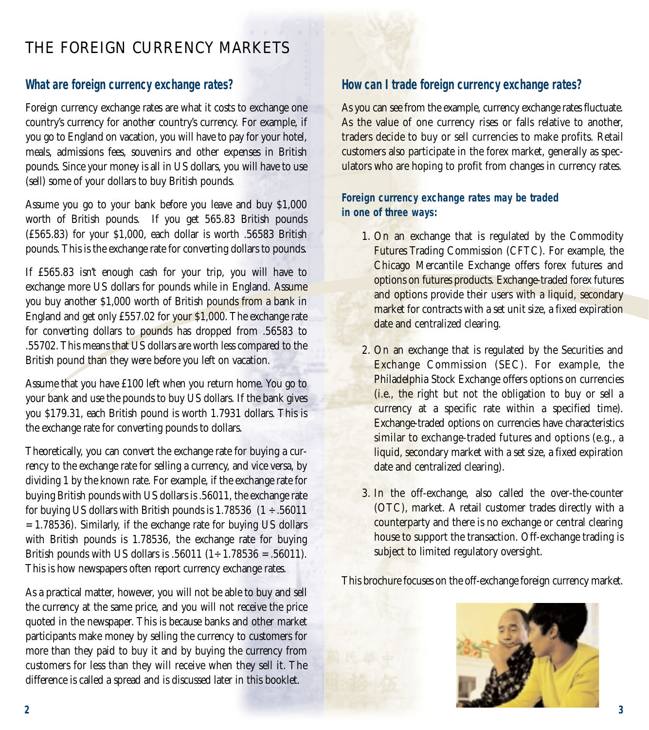# THE FOREIGN CURRENCY MARKETS

## *What are foreign currency exchange rates?*

Foreign currency exchange rates are what it costs to exchange one country's currency for another country's currency. For example, if you go to England on vacation, you will have to pay for your hotel, meals, admissions fees, souvenirs and other expenses in British pounds. Since your money is all in US dollars, you will have to use (sell) some of your dollars to buy British pounds.

Assume you go to your bank before you leave and buy \$1,000 worth of British pounds. If you get 565.83 British pounds (£565.83) for your \$1,000, each dollar is worth .56583 British pounds. This is the exchange rate for converting dollars to pounds.

If £565.83 isn't enough cash for your trip, you will have to exchange more US dollars for pounds while in England. Assume you buy another \$1,000 worth of British pounds from a bank in England and get only £557.02 for your \$1,000. The exchange rate for converting dollars to pounds has dropped from .56583 to .55702. This means that US dollars are worth less compared to the British pound than they were before you left on vacation.

Assume that you have £100 left when you return home. You go to your bank and use the pounds to buy US dollars. If the bank gives you \$179.31, each British pound is worth 1.7931 dollars. This is the exchange rate for converting pounds to dollars.

Theoretically, you can convert the exchange rate for buying a currency to the exchange rate for selling a currency, and vice versa, by dividing 1 by the known rate. For example, if the exchange rate for buying British pounds with US dollars is .56011, the exchange rate for buying US dollars with British pounds is  $1.78536$  (1 ÷ .56011) = 1.78536). Similarly, if the exchange rate for buying US dollars with British pounds is 1.78536, the exchange rate for buying British pounds with US dollars is .56011 (1 ÷ 1.78536 = .56011). This is how newspapers often report currency exchange rates.

As a practical matter, however, you will not be able to buy and sell the currency at the same price, and you will not receive the price quoted in the newspaper. This is because banks and other market participants make money by selling the currency to customers for more than they paid to buy it and by buying the currency from customers for less than they will receive when they sell it. The difference is called a spread and is discussed later in this booklet.

# *How can I trade foreign currency exchange rates?*

As you can see from the example, currency exchange rates fluctuate. As the value of one currency rises or falls relative to another, traders decide to buy or sell currencies to make profits. Retail customers also participate in the forex market, generally as speculators who are hoping to profit from changes in currency rates.

#### **Foreign currency exchange rates may be traded in one of three ways:**

- 1. On an exchange that is regulated by the Commodity Futures Trading Commission (CFTC). For example, the Chicago Mercantile Exchange offers forex futures and options on futures products. Exchange-traded forex futures and options provide their users with a liquid, secondary market for contracts with a set unit size, a fixed expiration date and centralized clearing.
- 2. On an exchange that is regulated by the Securities and Exchange Commission (SEC). For example, the Philadelphia Stock Exchange offers options on currencies (i.e., the right but not the obligation to buy or sell a currency at a specific rate within a specified time). Exchange-traded options on currencies have characteristics similar to exchange-traded futures and options (e.g., a liquid, secondary market with a set size, a fixed expiration date and centralized clearing).
- 3. In the off-exchange, also called the over-the-counter (OTC), market. A retail customer trades directly with a counterparty and there is no exchange or central clearing house to support the transaction. Off-exchange trading is subject to limited regulatory oversight.

This brochure focuses on the off-exchange foreign currency market.

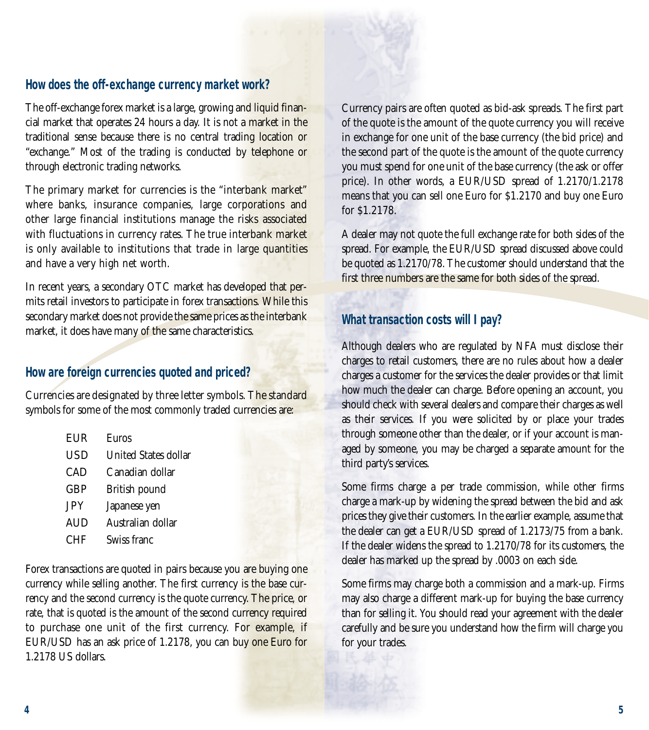#### *How does the off-exchange currency market work?*

The off-exchange forex market is a large, growing and liquid financial market that operates 24 hours a day. It is not a market in the traditional sense because there is no central trading location or "exchange." Most of the trading is conducted by telephone or through electronic trading networks.

The primary market for currencies is the "interbank market" where banks, insurance companies, large corporations and other large financial institutions manage the risks associated with fluctuations in currency rates. The true interbank market is only available to institutions that trade in large quantities and have a very high net worth.

In recent years, a secondary OTC market has developed that permits retail investors to participate in forex transactions. While this secondary market does not provide the same prices as the interbank market, it does have many of the same characteristics.

## *How are foreign currencies quoted and priced?*

Currencies are designated by three letter symbols. The standard symbols for some of the most commonly traded currencies are:

- EUR Euros
- USD United States dollar
- CAD Canadian dollar
- GBP British pound
- JPY Japanese yen
- AUD Australian dollar
- CHF Swiss franc

Forex transactions are quoted in pairs because you are buying one currency while selling another. The first currency is the base currency and the second currency is the quote currency. The price, or rate, that is quoted is the amount of the second currency required to purchase one unit of the first currency. For example, if EUR/USD has an ask price of 1.2178, you can buy one Euro for 1.2178 US dollars.

Currency pairs are often quoted as bid-ask spreads. The first part of the quote is the amount of the quote currency you will receive in exchange for one unit of the base currency (the bid price) and the second part of the quote is the amount of the quote currency you must spend for one unit of the base currency (the ask or offer price). In other words, a EUR/USD spread of 1.2170/1.2178 means that you can sell one Euro for \$1.2170 and buy one Euro for \$1.2178.

A dealer may not quote the full exchange rate for both sides of the spread. For example, the EUR/USD spread discussed above could be quoted as 1.2170/78. The customer should understand that the first three numbers are the same for both sides of the spread.

### *What transaction costs will I pay?*

Although dealers who are regulated by NFA must disclose their charges to retail customers, there are no rules about how a dealer charges a customer for the services the dealer provides or that limit how much the dealer can charge. Before opening an account, you should check with several dealers and compare their charges as well as their services. If you were solicited by or place your trades through someone other than the dealer, or if your account is managed by someone, you may be charged a separate amount for the third party's services.

Some firms charge a per trade commission, while other firms charge a mark-up by widening the spread between the bid and ask prices they give their customers. In the earlier example, assume that the dealer can get a EUR/USD spread of 1.2173/75 from a bank. If the dealer widens the spread to 1.2170/78 for its customers, the dealer has marked up the spread by .0003 on each side.

Some firms may charge both a commission and a mark-up. Firms may also charge a different mark-up for buying the base currency than for selling it. You should read your agreement with the dealer carefully and be sure you understand how the firm will charge you for your trades.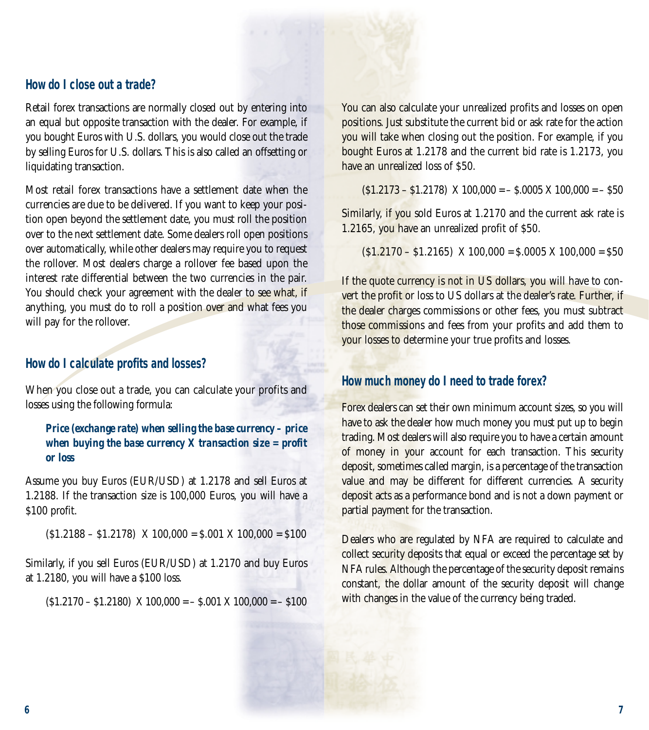#### *How do I close out a trade?*

Retail forex transactions are normally closed out by entering into an equal but opposite transaction with the dealer. For example, if you bought Euros with U.S. dollars, you would close out the trade by selling Euros for U.S. dollars. This is also called an offsetting or liquidating transaction.

Most retail forex transactions have a settlement date when the currencies are due to be delivered. If you want to keep your position open beyond the settlement date, you must roll the position over to the next settlement date. Some dealers roll open positions over automatically, while other dealers may require you to request the rollover. Most dealers charge a rollover fee based upon the interest rate differential between the two currencies in the pair. You should check your agreement with the dealer to see what, if anything, you must do to roll a position over and what fees you will pay for the rollover.

#### *How do I calculate profits and losses?*

When you close out a trade, you can calculate your profits and losses using the following formula:

#### *Price (exchange rate) when selling the base currency – price when buying the base currency X transaction size = profit or loss*

Assume you buy Euros (EUR/USD) at 1.2178 and sell Euros at 1.2188. If the transaction size is 100,000 Euros, you will have a \$100 profit.

 $(51.2188 - 51.2178)$  X 100,000 = \$.001 X 100,000 = \$100

Similarly, if you sell Euros (EUR/USD) at 1.2170 and buy Euros at 1.2180, you will have a \$100 loss.

 $(51.2170 - 51.2180)$  X  $100,000 = -5.001$  X  $100,000 = -5100$ 

You can also calculate your unrealized profits and losses on open positions. Just substitute the current bid or ask rate for the action you will take when closing out the position. For example, if you bought Euros at 1.2178 and the current bid rate is 1.2173, you have an unrealized loss of \$50.

 $(51.2173 - 51.2178)$  X  $100,000 = -5.0005$  X  $100,000 = -550$ 

Similarly, if you sold Euros at 1.2170 and the current ask rate is 1.2165, you have an unrealized profit of \$50.

 $(51.2170 - 51.2165)$  X 100,000 = \$.0005 X 100,000 = \$50

If the quote currency is not in US dollars, you will have to convert the profit or loss to US dollars at the dealer's rate. Further, if the dealer charges commissions or other fees, you must subtract those commissions and fees from your profits and add them to your losses to determine your true profits and losses.

#### *How much money do I need to trade forex?*

Forex dealers can set their own minimum account sizes, so you will have to ask the dealer how much money you must put up to begin trading. Most dealers will also require you to have a certain amount of money in your account for each transaction. This security deposit, sometimes called margin, is a percentage of the transaction value and may be different for different currencies. A security deposit acts as a performance bond and is not a down payment or partial payment for the transaction.

Dealers who are regulated by NFA are required to calculate and collect security deposits that equal or exceed the percentage set by NFA rules. Although the percentage of the security deposit remains constant, the dollar amount of the security deposit will change with changes in the value of the currency being traded.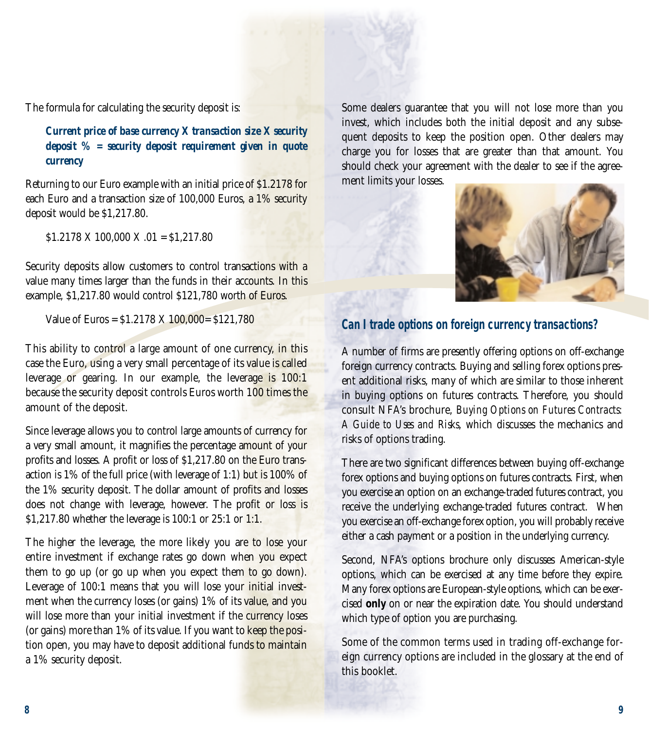The formula for calculating the security deposit is:

#### *Current price of base currency X transaction size X security deposit % = security deposit requirement given in quote currency*

Returning to our Euro example with an initial price of \$1.2178 for each Euro and a transaction size of 100,000 Euros, a 1% security deposit would be \$1,217.80.

\$1.2178 X 100,000 X .01 = \$1,217.80

Security deposits allow customers to control transactions with a value many times larger than the funds in their accounts. In this example, \$1,217.80 would control \$121,780 worth of Euros.

Value of Euros = \$1.2178 X 100,000= \$121,780

This ability to control a large amount of one currency, in this case the Euro, using a very small percentage of its value is called leverage or gearing. In our example, the leverage is 100:1 because the security deposit controls Euros worth 100 times the amount of the deposit.

Since leverage allows you to control large amounts of currency for a very small amount, it magnifies the percentage amount of your profits and losses. A profit or loss of \$1,217.80 on the Euro transaction is 1% of the full price (with leverage of 1:1) but is 100% of the 1% security deposit. The dollar amount of profits and losses does not change with leverage, however. The profit or loss is \$1,217.80 whether the leverage is 100:1 or 25:1 or 1:1.

The higher the leverage, the more likely you are to lose your entire investment if exchange rates go down when you expect them to go up (or go up when you expect them to go down). Leverage of 100:1 means that you will lose your initial investment when the currency loses (or gains) 1% of its value, and you will lose more than your initial investment if the currency loses (or gains) more than 1% of its value. If you want to keep the position open, you may have to deposit additional funds to maintain a 1% security deposit.

Some dealers guarantee that you will not lose more than you invest, which includes both the initial deposit and any subsequent deposits to keep the position open. Other dealers may charge you for losses that are greater than that amount. You should check your agreement with the dealer to see if the agreement limits your losses.



#### *Can I trade options on foreign currency transactions?*

A number of firms are presently offering options on off-exchange foreign currency contracts. Buying and selling forex options present additional risks, many of which are similar to those inherent in buying options on futures contracts. Therefore, you should consult NFA's brochure, *Buying Options on Futures Contracts: A Guide to Uses and Risks*, which discusses the mechanics and risks of options trading.

There are two significant differences between buying off-exchange forex options and buying options on futures contracts. First, when you exercise an option on an exchange-traded futures contract, you receive the underlying exchange-traded futures contract. When you exercise an off-exchange forex option, you will probably receive either a cash payment or a position in the underlying currency.

Second, NFA's options brochure only discusses American-style options, which can be exercised at any time before they expire. Many forex options are European-style options, which can be exercised **only** on or near the expiration date. You should understand which type of option you are purchasing.

Some of the common terms used in trading off-exchange foreign currency options are included in the glossary at the end of this booklet.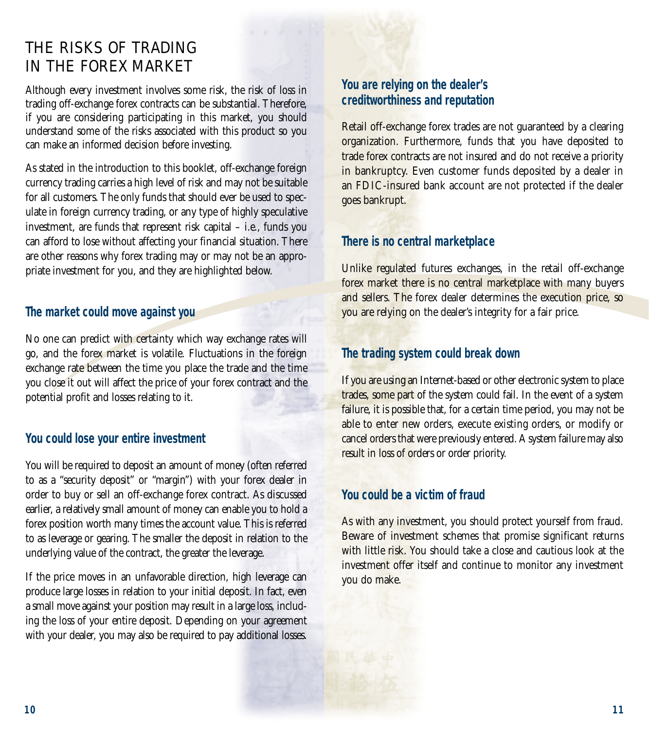# THE RISKS OF TRADING IN THE FOREX MARKET

Although every investment involves some risk, the risk of loss in trading off-exchange forex contracts can be substantial. Therefore, if you are considering participating in this market, you should understand some of the risks associated with this product so you can make an informed decision before investing.

As stated in the introduction to this booklet, off-exchange foreign currency trading carries a high level of risk and may not be suitable for all customers. The only funds that should ever be used to speculate in foreign currency trading, or any type of highly speculative investment, are funds that represent risk capital – i.e., funds you can afford to lose without affecting your financial situation. There are other reasons why forex trading may or may not be an appropriate investment for you, and they are highlighted below.

#### *The market could move against you*

No one can predict with certainty which way exchange rates will go, and the forex market is volatile. Fluctuations in the foreign exchange rate between the time you place the trade and the time you close it out will affect the price of your forex contract and the potential profit and losses relating to it.

### *You could lose your entire investment*

You will be required to deposit an amount of money (often referred to as a "security deposit" or "margin") with your forex dealer in order to buy or sell an off-exchange forex contract. As discussed earlier, a relatively small amount of money can enable you to hold a forex position worth many times the account value. This is referred to as leverage or gearing. The smaller the deposit in relation to the underlying value of the contract, the greater the leverage.

If the price moves in an unfavorable direction, high leverage can produce large losses in relation to your initial deposit. In fact, even a small move against your position may result in a large loss, including the loss of your entire deposit. Depending on your agreement with your dealer, you may also be required to pay additional losses.

### *You are relying on the dealer's creditworthiness and reputation*

Retail off-exchange forex trades are not guaranteed by a clearing organization. Furthermore, funds that you have deposited to trade forex contracts are not insured and do not receive a priority in bankruptcy. Even customer funds deposited by a dealer in an FDIC-insured bank account are not protected if the dealer goes bankrupt.

#### *There is no central marketplace*

Unlike regulated futures exchanges, in the retail off-exchange forex market there is no central marketplace with many buyers and sellers. The forex dealer determines the execution price, so you are relying on the dealer's integrity for a fair price.

## *The trading system could break down*

If you are using an Internet-based or other electronic system to place trades, some part of the system could fail. In the event of a system failure, it is possible that, for a certain time period, you may not be able to enter new orders, execute existing orders, or modify or cancel orders that were previously entered. A system failure may also result in loss of orders or order priority.

#### *You could be a victim of fraud*

As with any investment, you should protect yourself from fraud. Beware of investment schemes that promise significant returns with little risk. You should take a close and cautious look at the investment offer itself and continue to monitor any investment you do make.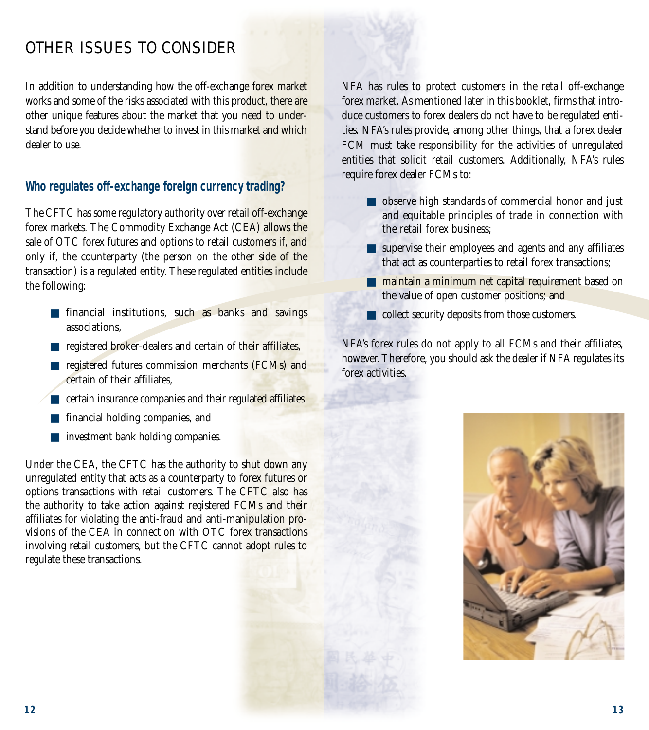# OTHER ISSUES TO CONSIDER

In addition to understanding how the off-exchange forex market works and some of the risks associated with this product, there are other unique features about the market that you need to understand before you decide whether to invest in this market and which dealer to use.

### *Who regulates off-exchange foreign currency trading?*

The CFTC has some regulatory authority over retail off-exchange forex markets. The Commodity Exchange Act (CEA) allows the sale of OTC forex futures and options to retail customers if, and only if, the counterparty (the person on the other side of the transaction) is a regulated entity. These regulated entities include the following:

- financial institutions, such as banks and savings associations,
- registered broker-dealers and certain of their affiliates,
- registered futures commission merchants (FCMs) and certain of their affiliates,
- certain insurance companies and their regulated affiliates
- financial holding companies, and
- investment bank holding companies.

Under the CEA, the CFTC has the authority to shut down any unregulated entity that acts as a counterparty to forex futures or options transactions with retail customers. The CFTC also has the authority to take action against registered FCMs and their affiliates for violating the anti-fraud and anti-manipulation provisions of the CEA in connection with OTC forex transactions involving retail customers, but the CFTC cannot adopt rules to regulate these transactions.

NFA has rules to protect customers in the retail off-exchange forex market. As mentioned later in this booklet, firms that introduce customers to forex dealers do not have to be regulated entities. NFA's rules provide, among other things, that a forex dealer FCM must take responsibility for the activities of unregulated entities that solicit retail customers. Additionally, NFA's rules require forex dealer FCMs to:

- observe high standards of commercial honor and just and equitable principles of trade in connection with the retail forex business;
- supervise their employees and agents and any affiliates that act as counterparties to retail forex transactions;
- maintain a minimum net capital requirement based on the value of open customer positions; and
- collect security deposits from those customers.

NFA's forex rules do not apply to all FCMs and their affiliates, however. Therefore, you should ask the dealer if NFA regulates its forex activities.

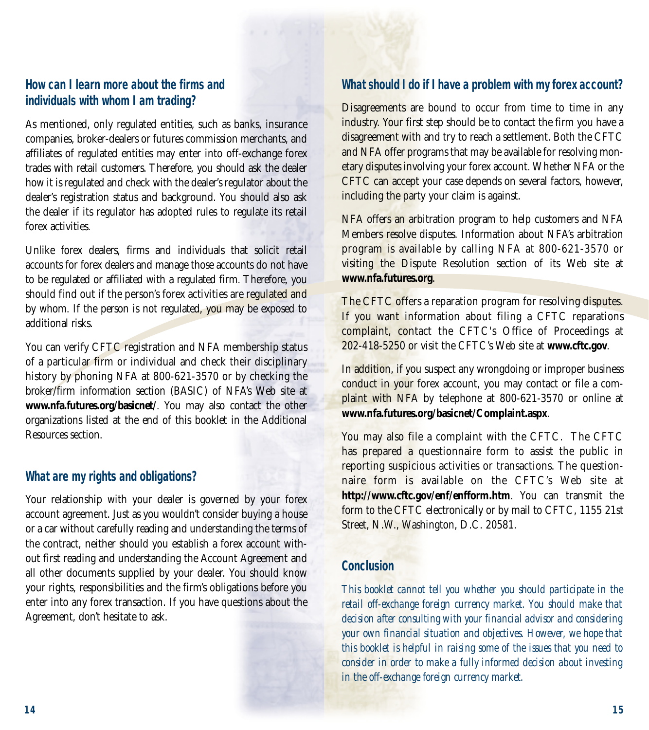#### *How can I learn more about the firms and individuals with whom I am trading?*

As mentioned, only regulated entities, such as banks, insurance companies, broker-dealers or futures commission merchants, and affiliates of regulated entities may enter into off-exchange forex trades with retail customers. Therefore, you should ask the dealer how it is regulated and check with the dealer's regulator about the dealer's registration status and background. You should also ask the dealer if its regulator has adopted rules to regulate its retail forex activities.

Unlike forex dealers, firms and individuals that solicit retail accounts for forex dealers and manage those accounts do not have to be regulated or affiliated with a regulated firm. Therefore, you should find out if the person's forex activities are regulated and by whom. If the person is not regulated, you may be exposed to additional risks.

You can verify CFTC registration and NFA membership status of a particular firm or individual and check their disciplinary history by phoning NFA at 800-621-3570 or by checking the broker/firm information section (BASIC) of NFA's Web site at **www.nfa.futures.org/basicnet/**. You may also contact the other organizations listed at the end of this booklet in the Additional Resources section.

### *What are my rights and obligations?*

Your relationship with your dealer is governed by your forex account agreement. Just as you wouldn't consider buying a house or a car without carefully reading and understanding the terms of the contract, neither should you establish a forex account without first reading and understanding the Account Agreement and all other documents supplied by your dealer. You should know your rights, responsibilities and the firm's obligations before you enter into any forex transaction. If you have questions about the Agreement, don't hesitate to ask.

#### *What should I do if I have a problem with my forex account?*

Disagreements are bound to occur from time to time in any industry. Your first step should be to contact the firm you have a disagreement with and try to reach a settlement. Both the CFTC and NFA offer programs that may be available for resolving monetary disputes involving your forex account. Whether NFA or the CFTC can accept your case depends on several factors, however, including the party your claim is against.

NFA offers an arbitration program to help customers and NFA Members resolve disputes. Information about NFA's arbitration program is available by calling NFA at 800-621-3570 or visiting the Dispute Resolution section of its Web site at **www.nfa.futures.org**.

The CFTC offers a reparation program for resolving disputes. If you want information about filing a CFTC reparations complaint, contact the CFTC's Office of Proceedings at 202-418-5250 or visit the CFTC's Web site at **www.cftc.gov**.

In addition, if you suspect any wrongdoing or improper business conduct in your forex account, you may contact or file a complaint with NFA by telephone at 800-621-3570 or online at **www.nfa.futures.org/basicnet/Complaint.aspx**.

You may also file a complaint with the CFTC. The CFTC has prepared a questionnaire form to assist the public in reporting suspicious activities or transactions. The questionnaire form is available on the CFTC's Web site at **http://www.cftc.gov/enf/enfform.htm**. You can transmit the form to the CFTC electronically or by mail to CFTC, 1155 21st Street, N.W., Washington, D.C. 20581.

#### *Conclusion*

*This booklet cannot tell you whether you should participate in the retail off-exchange foreign currency market. You should make that decision after consulting with your financial advisor and considering your own financial situation and objectives. However, we hope that this booklet is helpful in raising some of the issues that you need to consider in order to make a fully informed decision about investing in the off-exchange foreign currency market.*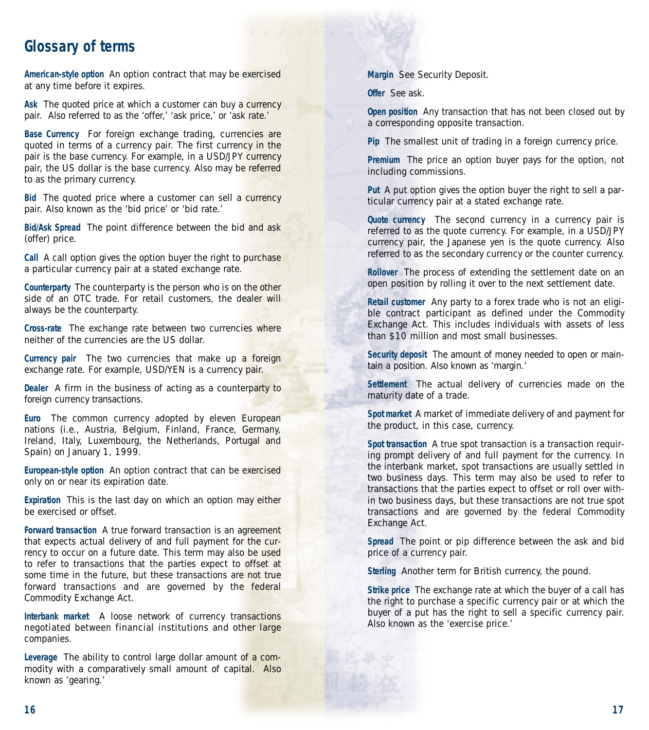# **Glossary of terms**

**American-style option** An option contract that may be exercised at any time before it expires.

**Ask** The quoted price at which a customer can buy a currency pair. Also referred to as the 'offer,' 'ask price,' or 'ask rate.'

**Base Currency** For foreign exchange trading, currencies are quoted in terms of a currency pair. The first currency in the pair is the base currency. For example, in a USD/JPY currency pair, the US dollar is the base currency. Also may be referred to as the primary currency.

**Bid** The quoted price where a customer can sell a currency pair. Also known as the 'bid price' or 'bid rate.'

**Bid/Ask Spread** The point difference between the bid and ask (offer) price.

**Call** A call option gives the option buyer the right to purchase a particular currency pair at a stated exchange rate.

**Counterparty** The counterparty is the person who is on the other side of an OTC trade. For retail customers, the dealer will always be the counterparty.

**Cross-rate** The exchange rate between two currencies where neither of the currencies are the US dollar.

**Currency pair** The two currencies that make up a foreign exchange rate. For example, USD/YEN is a currency pair.

**Dealer** A firm in the business of acting as a counterparty to foreign currency transactions.

**Euro** The common currency adopted by eleven European nations (i.e., Austria, Belgium, Finland, France, Germany, Ireland, Italy, Luxembourg, the Netherlands, Portugal and Spain) on January 1, 1999.

**European-style option** An option contract that can be exercised only on or near its expiration date.

**Expiration** This is the last day on which an option may either be exercised or offset.

**Forward transaction** A true forward transaction is an agreement that expects actual delivery of and full payment for the currency to occur on a future date. This term may also be used to refer to transactions that the parties expect to offset at some time in the future, but these transactions are not true forward transactions and are governed by the federal Commodity Exchange Act.

**Interbank market** A loose network of currency transactions negotiated between financial institutions and other large companies.

**Leverage** The ability to control large dollar amount of a commodity with a comparatively small amount of capital. Also known as 'gearing.'

**Margin** See Security Deposit.

**Offer** See ask.

**Open position** Any transaction that has not been closed out by a corresponding opposite transaction.

**Pip** The smallest unit of trading in a foreign currency price.

**Premium** The price an option buyer pays for the option, not including commissions.

**Put** A put option gives the option buyer the right to sell a particular currency pair at a stated exchange rate.

**Quote currency** The second currency in a currency pair is referred to as the quote currency. For example, in a USD/JPY currency pair, the Japanese yen is the quote currency. Also referred to as the secondary currency or the counter currency.

**Rollover** The process of extending the settlement date on an open position by rolling it over to the next settlement date.

**Retail customer** Any party to a forex trade who is not an eligible contract participant as defined under the Commodity Exchange Act. This includes individuals with assets of less than \$10 million and most small businesses.

**Security deposit** The amount of money needed to open or maintain a position. Also known as 'margin.'

**Settlement** The actual delivery of currencies made on the maturity date of a trade.

**Spot market** A market of immediate delivery of and payment for the product, in this case, currency.

**Spot transaction** A true spot transaction is a transaction requiring prompt delivery of and full payment for the currency. In the interbank market, spot transactions are usually settled in two business days. This term may also be used to refer to transactions that the parties expect to offset or roll over within two business days, but these transactions are not true spot transactions and are governed by the federal Commodity Exchange Act.

**Spread** The point or pip difference between the ask and bid price of a currency pair.

**Sterling** Another term for British currency, the pound.

**Strike price** The exchange rate at which the buyer of a call has the right to purchase a specific currency pair or at which the buyer of a put has the right to sell a specific currency pair. Also known as the 'exercise price.'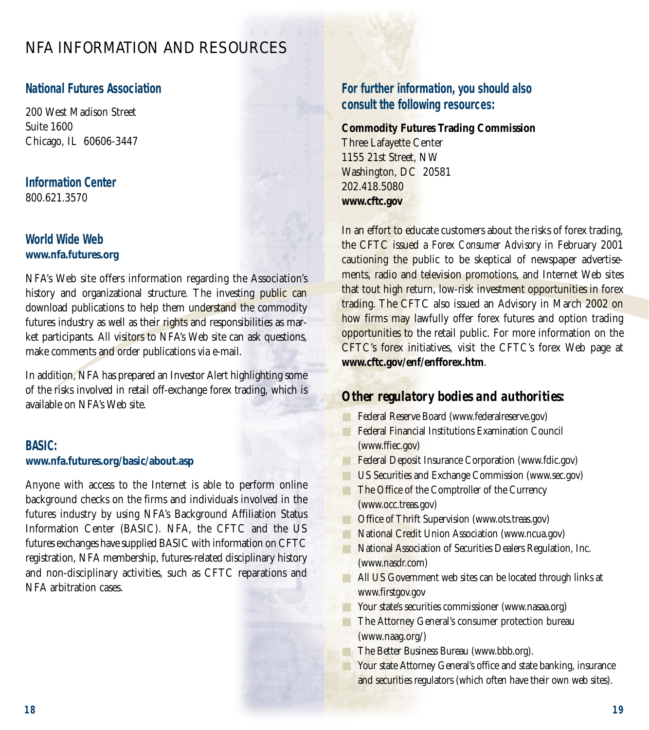# NFA INFORMATION AND RESOURCES

### *National Futures Association*

200 West Madison Street Suite 1600 Chicago, IL 60606-3447

#### *Information Center* 800.621.3570

#### *World Wide Web* **www.nfa.futures.org**

NFA's Web site offers information regarding the Association's history and organizational structure. The investing public can download publications to help them understand the commodity futures industry as well as their rights and responsibilities as market participants. All visitors to NFA's Web site can ask questions, make comments and order publications via e-mail.

In addition, NFA has prepared an Investor Alert highlighting some of the risks involved in retail off-exchange forex trading, which is available on NFA's Web site.

#### *BASIC:*

#### **www.nfa.futures.org/basic/about.asp**

Anyone with access to the Internet is able to perform online background checks on the firms and individuals involved in the futures industry by using NFA's Background Affiliation Status Information Center (BASIC). NFA, the CFTC and the US futures exchanges have supplied BASIC with information on CFTC registration, NFA membership, futures-related disciplinary history and non-disciplinary activities, such as CFTC reparations and NFA arbitration cases.

## *For further information, you should also consult the following resources:*

#### **Commodity Futures Trading Commission**  Three Lafayette Center

1155 21st Street, NW Washington, DC 20581 202.418.5080 **www.cftc.gov**

In an effort to educate customers about the risks of forex trading, the CFTC issued a *Forex Consumer Advisory* in February 2001 cautioning the public to be skeptical of newspaper advertisements, radio and television promotions, and Internet Web sites that tout high return, low-risk investment opportunities in forex trading. The CFTC also issued an Advisory in March 2002 on how firms may lawfully offer forex futures and option trading opportunities to the retail public. For more information on the CFTC's forex initiatives, visit the CFTC's forex Web page at **www.cftc.gov/enf/enfforex.htm**.

### *Other regulatory bodies and authorities:*

- Federal Reserve Board (www.federalreserve.gov)
- **Federal Financial Institutions Examination Council** (www.ffiec.gov)
- Federal Deposit Insurance Corporation (www.fdic.gov)
- US Securities and Exchange Commission (www.sec.gov)
- The Office of the Comptroller of the Currency (www.occ.treas.gov)
- Office of Thrift Supervision (www.ots.treas.gov)
- National Credit Union Association (www.ncua.gov)
- National Association of Securities Dealers Regulation, Inc. (www.nasdr.com)
- **All US Government web sites can be located through links at** www.firstgov.gov
- Your state's securities commissioner (www.nasaa.org)
- **The Attorney General's consumer protection bureau** (www.naag.org/)
- The Better Business Bureau (www.bbb.org).
- Your state Attorney General's office and state banking, insurance and securities regulators (which often have their own web sites).